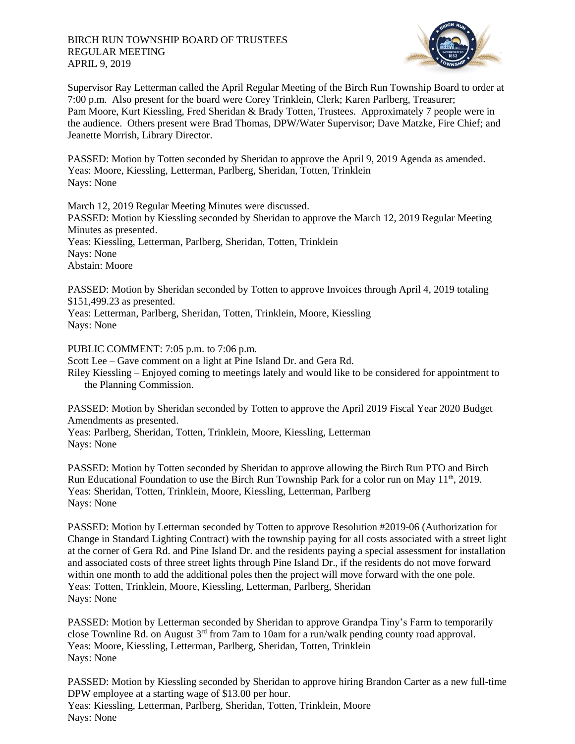

Supervisor Ray Letterman called the April Regular Meeting of the Birch Run Township Board to order at 7:00 p.m. Also present for the board were Corey Trinklein, Clerk; Karen Parlberg, Treasurer; Pam Moore, Kurt Kiessling, Fred Sheridan & Brady Totten, Trustees. Approximately 7 people were in the audience. Others present were Brad Thomas, DPW/Water Supervisor; Dave Matzke, Fire Chief; and Jeanette Morrish, Library Director.

PASSED: Motion by Totten seconded by Sheridan to approve the April 9, 2019 Agenda as amended. Yeas: Moore, Kiessling, Letterman, Parlberg, Sheridan, Totten, Trinklein Nays: None

March 12, 2019 Regular Meeting Minutes were discussed.

PASSED: Motion by Kiessling seconded by Sheridan to approve the March 12, 2019 Regular Meeting Minutes as presented.

Yeas: Kiessling, Letterman, Parlberg, Sheridan, Totten, Trinklein

Nays: None

Abstain: Moore

PASSED: Motion by Sheridan seconded by Totten to approve Invoices through April 4, 2019 totaling \$151,499.23 as presented.

Yeas: Letterman, Parlberg, Sheridan, Totten, Trinklein, Moore, Kiessling Nays: None

PUBLIC COMMENT: 7:05 p.m. to 7:06 p.m.

Scott Lee – Gave comment on a light at Pine Island Dr. and Gera Rd.

Riley Kiessling – Enjoyed coming to meetings lately and would like to be considered for appointment to the Planning Commission.

PASSED: Motion by Sheridan seconded by Totten to approve the April 2019 Fiscal Year 2020 Budget Amendments as presented.

Yeas: Parlberg, Sheridan, Totten, Trinklein, Moore, Kiessling, Letterman Nays: None

PASSED: Motion by Totten seconded by Sheridan to approve allowing the Birch Run PTO and Birch Run Educational Foundation to use the Birch Run Township Park for a color run on May  $11<sup>th</sup>$ , 2019. Yeas: Sheridan, Totten, Trinklein, Moore, Kiessling, Letterman, Parlberg Nays: None

PASSED: Motion by Letterman seconded by Totten to approve Resolution #2019-06 (Authorization for Change in Standard Lighting Contract) with the township paying for all costs associated with a street light at the corner of Gera Rd. and Pine Island Dr. and the residents paying a special assessment for installation and associated costs of three street lights through Pine Island Dr., if the residents do not move forward within one month to add the additional poles then the project will move forward with the one pole. Yeas: Totten, Trinklein, Moore, Kiessling, Letterman, Parlberg, Sheridan Nays: None

PASSED: Motion by Letterman seconded by Sheridan to approve Grandpa Tiny's Farm to temporarily close Townline Rd. on August 3rd from 7am to 10am for a run/walk pending county road approval. Yeas: Moore, Kiessling, Letterman, Parlberg, Sheridan, Totten, Trinklein Nays: None

PASSED: Motion by Kiessling seconded by Sheridan to approve hiring Brandon Carter as a new full-time DPW employee at a starting wage of \$13.00 per hour. Yeas: Kiessling, Letterman, Parlberg, Sheridan, Totten, Trinklein, Moore Nays: None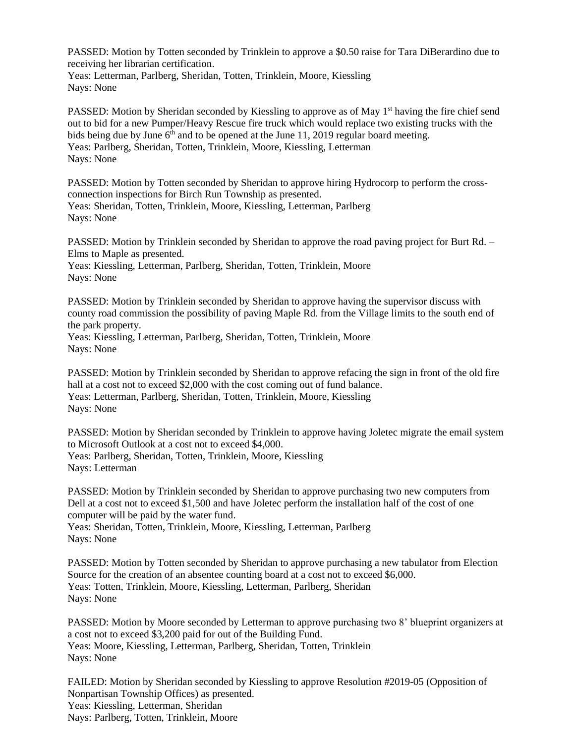PASSED: Motion by Totten seconded by Trinklein to approve a \$0.50 raise for Tara DiBerardino due to receiving her librarian certification.

Yeas: Letterman, Parlberg, Sheridan, Totten, Trinklein, Moore, Kiessling Nays: None

PASSED: Motion by Sheridan seconded by Kiessling to approve as of May 1<sup>st</sup> having the fire chief send out to bid for a new Pumper/Heavy Rescue fire truck which would replace two existing trucks with the bids being due by June  $6<sup>th</sup>$  and to be opened at the June 11, 2019 regular board meeting. Yeas: Parlberg, Sheridan, Totten, Trinklein, Moore, Kiessling, Letterman Nays: None

PASSED: Motion by Totten seconded by Sheridan to approve hiring Hydrocorp to perform the crossconnection inspections for Birch Run Township as presented. Yeas: Sheridan, Totten, Trinklein, Moore, Kiessling, Letterman, Parlberg Nays: None

PASSED: Motion by Trinklein seconded by Sheridan to approve the road paving project for Burt Rd. – Elms to Maple as presented.

Yeas: Kiessling, Letterman, Parlberg, Sheridan, Totten, Trinklein, Moore Nays: None

PASSED: Motion by Trinklein seconded by Sheridan to approve having the supervisor discuss with county road commission the possibility of paving Maple Rd. from the Village limits to the south end of the park property.

Yeas: Kiessling, Letterman, Parlberg, Sheridan, Totten, Trinklein, Moore Nays: None

PASSED: Motion by Trinklein seconded by Sheridan to approve refacing the sign in front of the old fire hall at a cost not to exceed \$2,000 with the cost coming out of fund balance. Yeas: Letterman, Parlberg, Sheridan, Totten, Trinklein, Moore, Kiessling Nays: None

PASSED: Motion by Sheridan seconded by Trinklein to approve having Joletec migrate the email system to Microsoft Outlook at a cost not to exceed \$4,000. Yeas: Parlberg, Sheridan, Totten, Trinklein, Moore, Kiessling Nays: Letterman

PASSED: Motion by Trinklein seconded by Sheridan to approve purchasing two new computers from Dell at a cost not to exceed \$1,500 and have Joletec perform the installation half of the cost of one computer will be paid by the water fund.

Yeas: Sheridan, Totten, Trinklein, Moore, Kiessling, Letterman, Parlberg Nays: None

PASSED: Motion by Totten seconded by Sheridan to approve purchasing a new tabulator from Election Source for the creation of an absentee counting board at a cost not to exceed \$6,000. Yeas: Totten, Trinklein, Moore, Kiessling, Letterman, Parlberg, Sheridan Nays: None

PASSED: Motion by Moore seconded by Letterman to approve purchasing two 8' blueprint organizers at a cost not to exceed \$3,200 paid for out of the Building Fund. Yeas: Moore, Kiessling, Letterman, Parlberg, Sheridan, Totten, Trinklein Nays: None

FAILED: Motion by Sheridan seconded by Kiessling to approve Resolution #2019-05 (Opposition of Nonpartisan Township Offices) as presented. Yeas: Kiessling, Letterman, Sheridan Nays: Parlberg, Totten, Trinklein, Moore